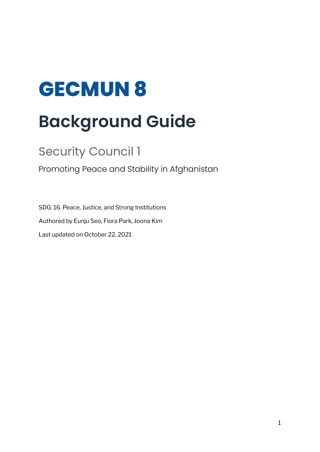# **GECMUN 8 Background Guide**

# Security Council 1

Promoting Peace and Stability in Afghanistan

SDG: 16. Peace, Justice, and Strong Institutions Authored by Eunju Seo, Flora Park, Joona Kim Last updated on October 22, 2021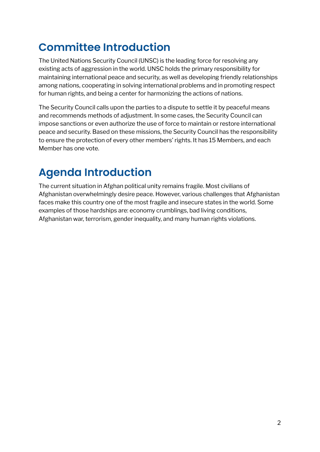# **Committee Introduction**

The United Nations Security Council (UNSC) is the leading force for resolving any existing acts of aggression in the world. UNSC holds the primary responsibility for maintaining international peace and security, as well as developing friendly relationships among nations, cooperating in solving international problems and in promoting respect for human rights, and being a center for harmonizing the actions of nations.

The Security Council calls upon the parties to a dispute to settle it by peaceful means and recommends methods of adjustment. In some cases, the Security Council can impose sanctions or even authorize the use of force to maintain or restore international peace and security. Based on these missions, the Security Council has the responsibility to ensure the protection of every other members' rights. It has 15 Members, and each Member has one vote.

# **Agenda Introduction**

The current situation in Afghan political unity remains fragile. Most civilians of Afghanistan overwhelmingly desire peace. However, various challenges that Afghanistan faces make this country one of the most fragile and insecure states in the world. Some examples of those hardships are: economy crumblings, bad living conditions, Afghanistan war, terrorism, gender inequality, and many human rights violations.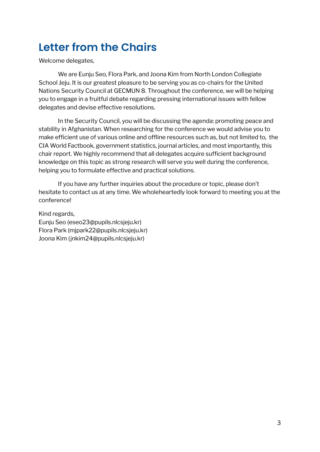# **Letter from the Chairs**

Welcome delegates,

We are Eunju Seo, Flora Park, and Joona Kim from North London Collegiate School Jeju. It is our greatest pleasure to be serving you as co-chairs for the United Nations Security Council at GECMUN 8. Throughout the conference, we will be helping you to engage in a fruitful debate regarding pressing international issues with fellow delegates and devise effective resolutions.

In the Security Council, you will be discussing the agenda: promoting peace and stability in Afghanistan. When researching for the conference we would advise you to make efficient use of various online and offline resources such as, but not limited to, the CIA World Factbook, government statistics, journal articles, and most importantly, this chair report. We highly recommend that all delegates acquire sufficient background knowledge on this topic as strong research will serve you well during the conference, helping you to formulate effective and practical solutions.

If you have any further inquiries about the procedure or topic, please don't hesitate to contact us at any time. We wholeheartedly look forward to meeting you at the conference!

Kind regards, Eunju Seo (eseo23@pupils.nlcsjeju.kr) Flora Park (mjpark22@pupils.nlcsjeju.kr) Joona Kim (jnkim24@pupils.nlcsjeju.kr)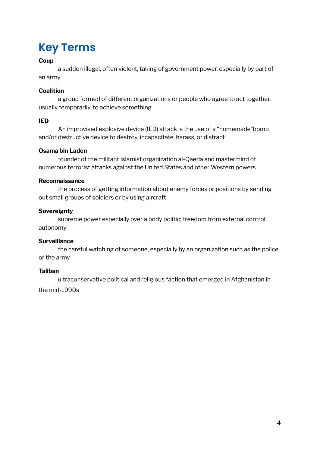# **Key Terms**

### **Coup**

a sudden illegal, often violent, taking of government power, especially by part of an army

### **Coalition**

a group formed of different organizations or people who agree to act together, usually temporarily, to achieve something

### **IED**

An improvised explosive device (IED) attack is the use of a "homemade"bomb and/or destructive device to destroy, incapacitate, harass, or distract

### **Osama bin Laden**

founder of the militant Islamist organization al-Qaeda and mastermind of numerous terrorist attacks against the United States and other Western powers

### **Reconnaissance**

the process of getting information about enemy forces or positions by sending out small groups of soldiers or by using aircraft

### **Sovereignty**

supreme power especially over a body politic; freedom from external control, autonomy

### **Surveillance**

the careful watching of someone, especially by an organization such as the police or the army

### **Taliban**

ultraconservative political and religious faction that emerged in Afghanistan in

the mid-1990s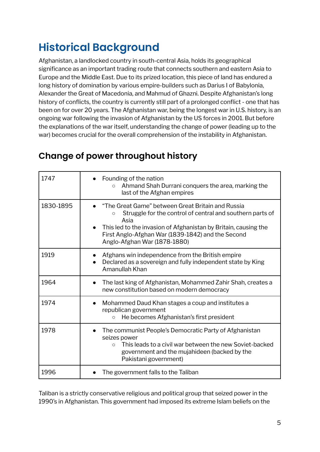# **Historical Background**

Afghanistan, a landlocked country in south-central Asia, holds its geographical significance as an important trading route that connects southern and eastern Asia to Europe and the Middle East. Due to its prized location, this piece of land has endured a long history of domination by various empire-builders such as Darius I of Babylonia, Alexander the Great of Macedonia, and Mahmud of Ghazni. Despite Afghanistan's long history of conflicts, the country is currently still part of a prolonged conflict - one that has been on for over 20 years. The Afghanistan war, being the longest war in U.S. history, is an ongoing war following the invasion of Afghanistan by the US forces in 2001. But before the explanations of the war itself, understanding the change of power (leading up to the war) becomes crucial for the overall comprehension of the instability in Afghanistan.

| 1747      | Founding of the nation<br>Ahmand Shah Durrani conquers the area, marking the<br>$\circ$<br>last of the Afghan empires                                                                                                                                                                     |
|-----------|-------------------------------------------------------------------------------------------------------------------------------------------------------------------------------------------------------------------------------------------------------------------------------------------|
| 1830-1895 | "The Great Game" between Great Britain and Russia<br>Struggle for the control of central and southern parts of<br>$\circ$<br>Asia<br>This led to the invasion of Afghanistan by Britain, causing the<br>First Anglo-Afghan War (1839-1842) and the Second<br>Anglo-Afghan War (1878-1880) |
| 1919      | Afghans win independence from the British empire<br>Declared as a sovereign and fully independent state by King<br>Amanullah Khan                                                                                                                                                         |
| 1964      | The last king of Afghanistan, Mohammed Zahir Shah, creates a<br>new constitution based on modern democracy                                                                                                                                                                                |
| 1974      | Mohammed Daud Khan stages a coup and institutes a<br>$\bullet$<br>republican government<br>He becomes Afghanistan's first president<br>$\circ$                                                                                                                                            |
| 1978      | The communist People's Democratic Party of Afghanistan<br>seizes power<br>This leads to a civil war between the new Soviet-backed<br>$\Omega$<br>government and the mujahideen (backed by the<br>Pakistani government)                                                                    |
| 1996      | The government falls to the Taliban                                                                                                                                                                                                                                                       |

### **Change of power throughout history**

Taliban is a strictly conservative religious and political group that seized power in the 1990's in Afghanistan. This government had imposed its extreme Islam beliefs on the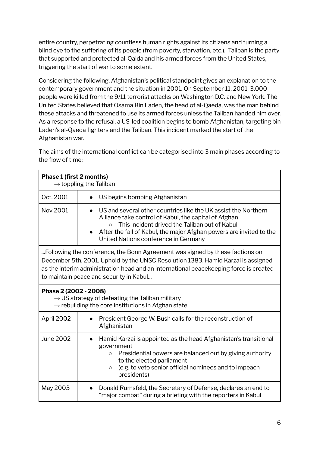entire country, perpetrating countless human rights against its citizens and turning a blind eye to the suffering of its people (from poverty, starvation, etc.). Taliban is the party that supported and protected al-Qaida and his armed forces from the United States, triggering the start of war to some extent.

Considering the following, Afghanistan's political standpoint gives an explanation to the contemporary government and the situation in 2001. On September 11, 2001, 3,000 people were killed from the 9/11 terrorist attacks on Washington D.C. and New York. The United States believed that Osama Bin Laden, the head of al-Qaeda, was the man behind these attacks and threatened to use its armed forces unless the Taliban handed him over. As a response to the refusal, a US-led coalition begins to bomb Afghanistan, targeting bin Laden's al-Qaeda fighters and the Taliban. This incident marked the start of the Afghanistan war.

The aims of the international conflict can be categorised into 3 main phases according to the flow of time:

| Phase 1 (first 2 months)<br>$\rightarrow$ toppling the Taliban                                                                                                                                                                                                                                       |                                                                                                                                                                                                                                                                                                      |  |
|------------------------------------------------------------------------------------------------------------------------------------------------------------------------------------------------------------------------------------------------------------------------------------------------------|------------------------------------------------------------------------------------------------------------------------------------------------------------------------------------------------------------------------------------------------------------------------------------------------------|--|
| Oct. 2001                                                                                                                                                                                                                                                                                            | US begins bombing Afghanistan                                                                                                                                                                                                                                                                        |  |
| Nov 2001                                                                                                                                                                                                                                                                                             | US and several other countries like the UK assist the Northern<br>$\bullet$<br>Alliance take control of Kabul, the capital of Afghan<br>This incident drived the Taliban out of Kabul<br>After the fall of Kabul, the major Afghan powers are invited to the<br>United Nations conference in Germany |  |
| Eollowing the conference, the Bonn Agreement was signed by these factions on<br>December 5th, 2001. Uphold by the UNSC Resolution 1383, Hamid Karzai is assigned<br>as the interim administration head and an international peacekeeping force is created<br>to maintain peace and security in Kabul |                                                                                                                                                                                                                                                                                                      |  |
| Phase 2 (2002 - 2008)<br>$\rightarrow$ US strategy of defeating the Taliban military<br>$\rightarrow$ rebuilding the core institutions in Afghan state                                                                                                                                               |                                                                                                                                                                                                                                                                                                      |  |
| April 2002                                                                                                                                                                                                                                                                                           | President George W. Bush calls for the reconstruction of<br>Afghanistan                                                                                                                                                                                                                              |  |
| <b>June 2002</b>                                                                                                                                                                                                                                                                                     | Hamid Karzai is appointed as the head Afghanistan's transitional<br>government<br>Presidential powers are balanced out by giving authority<br>$\circ$<br>to the elected parliament<br>(e.g. to veto senior official nominees and to impeach<br>$\circ$<br>presidents)                                |  |
| May 2003                                                                                                                                                                                                                                                                                             | Donald Rumsfeld, the Secretary of Defense, declares an end to<br>$\bullet$<br>"major combat" during a briefing with the reporters in Kabul                                                                                                                                                           |  |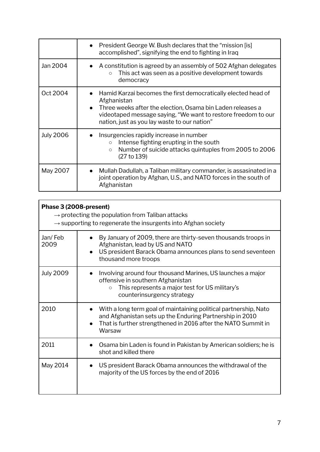|                  | President George W. Bush declares that the "mission [is]<br>accomplished", signifying the end to fighting in Iraq                                                                                                                                           |
|------------------|-------------------------------------------------------------------------------------------------------------------------------------------------------------------------------------------------------------------------------------------------------------|
| Jan 2004         | A constitution is agreed by an assembly of 502 Afghan delegates<br>This act was seen as a positive development towards<br>$\circ$<br>democracy                                                                                                              |
| Oct 2004         | Hamid Karzai becomes the first democratically elected head of<br>Afghanistan<br>Three weeks after the election, Osama bin Laden releases a<br>videotaped message saying, "We want to restore freedom to our<br>nation, just as you lay waste to our nation" |
| <b>July 2006</b> | Insurgencies rapidly increase in number<br>Intense fighting erupting in the south<br>$\circ$<br>Number of suicide attacks quintuples from 2005 to 2006<br>$\circ$<br>(27 to 139)                                                                            |
| May 2007         | Mullah Dadullah, a Taliban military commander, is assasinated in a<br>joint operation by Afghan, U.S., and NATO forces in the south of<br>Afghanistan                                                                                                       |

| Phase 3 (2008-present)<br>$\rightarrow$ protecting the population from Taliban attacks<br>$\rightarrow$ supporting to regenerate the insurgents into Afghan society |                                                                                                                                                                                                                      |  |
|---------------------------------------------------------------------------------------------------------------------------------------------------------------------|----------------------------------------------------------------------------------------------------------------------------------------------------------------------------------------------------------------------|--|
| Jan/Feb<br>2009                                                                                                                                                     | By January of 2009, there are thirty-seven thousands troops in<br>Afghanistan, lead by US and NATO<br>US president Barack Obama announces plans to send seventeen<br>thousand more troops                            |  |
| <b>July 2009</b>                                                                                                                                                    | Involving around four thousand Marines, US launches a major<br>offensive in southern Afghanistan<br>This represents a major test for US military's<br>$\circ$<br>counterinsurgency strategy                          |  |
| 2010                                                                                                                                                                | With a long term goal of maintaining political partnership, Nato<br>and Afghanistan sets up the Enduring Partnership in 2010<br>That is further strengthened in 2016 after the NATO Summit in<br>$\bullet$<br>Warsaw |  |
| 2011                                                                                                                                                                | Osama bin Laden is found in Pakistan by American soldiers; he is<br>shot and killed there                                                                                                                            |  |
| May 2014                                                                                                                                                            | US president Barack Obama announces the withdrawal of the<br>majority of the US forces by the end of 2016                                                                                                            |  |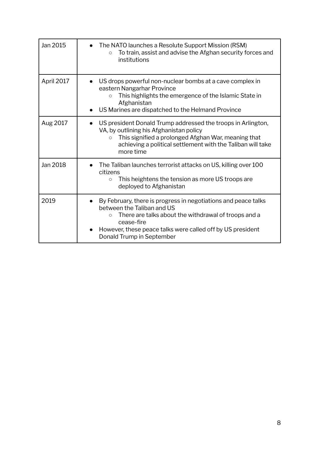| Jan 2015   | The NATO launches a Resolute Support Mission (RSM)<br>$\bullet$<br>To train, assist and advise the Afghan security forces and<br>$\circ$<br>institutions                                                                                                                 |
|------------|--------------------------------------------------------------------------------------------------------------------------------------------------------------------------------------------------------------------------------------------------------------------------|
| April 2017 | US drops powerful non-nuclear bombs at a cave complex in<br>eastern Nangarhar Province<br>This highlights the emergence of the Islamic State in<br>$\circ$<br>Afghanistan<br>US Marines are dispatched to the Helmand Province                                           |
| Aug 2017   | US president Donald Trump addressed the troops in Arlington,<br>$\bullet$<br>VA, by outlining his Afghanistan policy<br>This signified a prolonged Afghan War, meaning that<br>$\circ$<br>achieving a political settlement with the Taliban will take<br>more time       |
| Jan 2018   | The Taliban launches terrorist attacks on US, killing over 100<br>citizens<br>This heightens the tension as more US troops are<br>$\circ$<br>deployed to Afghanistan                                                                                                     |
| 2019       | By February, there is progress in negotiations and peace talks<br>between the Taliban and US<br>There are talks about the withdrawal of troops and a<br>$\circ$<br>cease-fire<br>However, these peace talks were called off by US president<br>Donald Trump in September |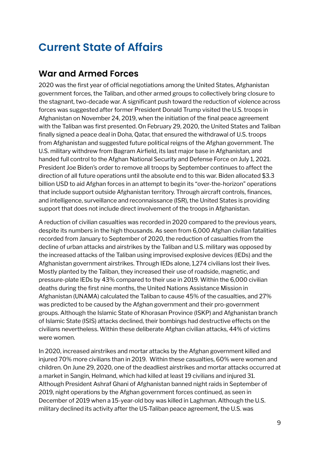## **Current State of Affairs**

### **War and Armed Forces**

2020 was the first year of official negotiations among the United States, Afghanistan government forces, the Taliban, and other armed groups to collectively bring closure to the stagnant, two-decade war. A significant push toward the reduction of violence across forces was suggested after former President Donald Trump visited the U.S. troops in Afghanistan on November 24, 2019, when the initiation of the final peace agreement with the Taliban was first presented. On February 29, 2020, the United States and Taliban finally signed a peace deal in Doha, Qatar, that ensured the withdrawal of U.S. troops from Afghanistan and suggested future political reigns of the Afghan government. The U.S. military withdrew from Bagram Airfield, its last major base in Afghanistan, and handed full control to the Afghan National Security and Defense Force on July 1, 2021. President Joe Biden's order to remove all troops by September continues to affect the direction of all future operations until the absolute end to this war. Biden allocated \$3.3 billion USD to aid Afghan forces in an attempt to begin its "over-the-horizon" operations that include support outside Afghanistan territory. Through aircraft controls, finances, and intelligence, surveillance and reconnaissance (ISR), the United States is providing support that does not include direct involvement of the troops in Afghanistan.

A reduction of civilian casualties was recorded in 2020 compared to the previous years, despite its numbers in the high thousands. As seen from 6,000 Afghan civilian fatalities recorded from January to September of 2020, the reduction of casualties from the decline of urban attacks and airstrikes by the Taliban and U.S. military was opposed by the increased attacks of the Taliban using improvised explosive devices (IEDs) and the Afghanistan government airstrikes. Through IEDs alone, 1,274 civilians lost their lives. Mostly planted by the Taliban, they increased their use of roadside, magnetic, and pressure-plate IEDs by 43% compared to their use in 2019. Within the 6,000 civilian deaths during the first nine months, the United Nations Assistance Mission in Afghanistan (UNAMA) calculated the Taliban to cause 45% of the casualties, and 27% was predicted to be caused by the Afghan government and their pro-government groups. Although the Islamic State of Khorasan Province (ISKP) and Afghanistan branch of Islamic State (ISIS) attacks declined, their bombings had destructive effects on the civilians nevertheless. Within these deliberate Afghan civilian attacks, 44% of victims were women.

In 2020, increased airstrikes and mortar attacks by the Afghan government killed and injured 70% more civilians than in 2019. Within these casualties, 60% were women and children. On June 29, 2020, one of the deadliest airstrikes and mortar attacks occurred at a market in Sangin, Helmand, which had killed at least 19 civilians and injured 31. Although President Ashraf Ghani of Afghanistan banned night raids in September of 2019, night operations by the Afghan government forces continued, as seen in December of 2019 when a 15-year-old boy was killed in Laghman. Although the U.S. military declined its activity after the US-Taliban peace agreement, the U.S. was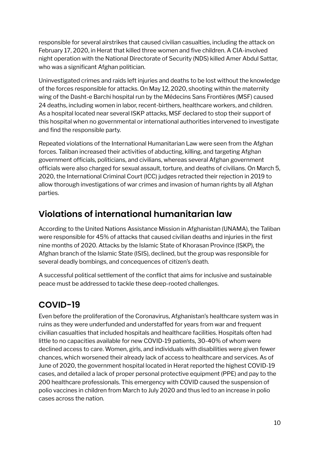responsible for several airstrikes that caused civilian casualties, including the attack on February 17, 2020, in Herat that killed three women and five children. A CIA-involved night operation with the National Directorate of Security (NDS) killed Amer Abdul Sattar, who was a significant Afghan politician.

Uninvestigated crimes and raids left injuries and deaths to be lost without the knowledge of the forces responsible for attacks. On May 12, 2020, shooting within the maternity wing of the Dasht-e Barchi hospital run by the Médecins Sans Frontières (MSF) caused 24 deaths, including women in labor, recent-birthers, healthcare workers, and children. As a hospital located near several ISKP attacks, MSF declared to stop their support of this hospital when no governmental or international authorities intervened to investigate and find the responsible party.

Repeated violations of the International Humanitarian Law were seen from the Afghan forces. Taliban increased their activities of abducting, killing, and targeting Afghan government officials, politicians, and civilians, whereas several Afghan government officials were also charged for sexual assault, torture, and deaths of civilians. On March 5, 2020, the International Criminal Court (ICC) judges retracted their rejection in 2019 to allow thorough investigations of war crimes and invasion of human rights by all Afghan parties.

### **Violations of international humanitarian law**

According to the United Nations Assistance Mission in Afghanistan (UNAMA), the Taliban were responsible for 45% of attacks that caused civilian deaths and injuries in the first nine months of 2020. Attacks by the Islamic State of Khorasan Province (ISKP), the Afghan branch of the Islamic State (ISIS), declined, but the group was responsible for several deadly bombings, and concequences of citizen's death.

A successful political settlement of the conflict that aims for inclusive and sustainable peace must be addressed to tackle these deep-rooted challenges.

### **COVID-19**

Even before the proliferation of the Coronavirus, Afghanistan's healthcare system was in ruins as they were underfunded and understaffed for years from war and frequent civilian casualties that included hospitals and healthcare facilities. Hospitals often had little to no capacities available for new COVID-19 patients, 30-40% of whom were declined access to care. Women, girls, and individuals with disabilities were given fewer chances, which worsened their already lack of access to healthcare and services. As of June of 2020, the government hospital located in Herat reported the highest COVID-19 cases, and detailed a lack of proper personal protective equipment (PPE) and pay to the 200 healthcare professionals. This emergency with COVID caused the suspension of polio vaccines in children from March to July 2020 and thus led to an increase in polio cases across the nation.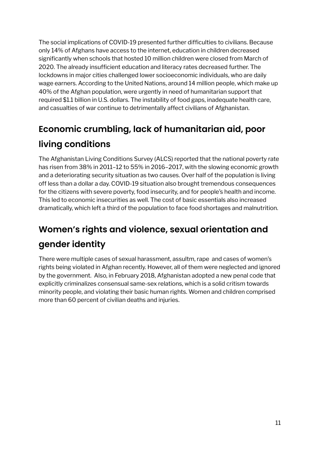The social implications of COVID-19 presented further difficulties to civilians. Because only 14% of Afghans have access to the internet, education in children decreased significantly when schools that hosted 10 million children were closed from March of 2020. The already insufficient education and literacy rates decreased further. The lockdowns in major cities challenged lower socioeconomic individuals, who are daily wage earners. According to the United Nations, around 14 million people, which make up 40% of the Afghan population, were urgently in need of humanitarian support that required \$1.1 billion in U.S. dollars. The instability of food gaps, inadequate health care, and casualties of war continue to detrimentally affect civilians of Afghanistan.

### **Economic crumbling, lack of humanitarian aid, poor living conditions**

The Afghanistan Living Conditions Survey (ALCS) reported that the national poverty rate has risen from 38% in 2011–12 to 55% in 2016–2017, with the slowing economic growth and a deteriorating security situation as two causes. Over half of the population is living off less than a dollar a day. COVID-19 situation also brought tremendous consequences for the citizens with severe poverty, food insecurity, and for people's health and income. This led to economic insecurities as well. The cost of basic essentials also increased dramatically, which left a third of the population to face food shortages and malnutrition.

### **Women's rights and violence, sexual orientation and gender identity**

There were multiple cases of sexual harassment, assultm, rape and cases of women's rights being violated in Afghan recently. However, all of them were neglected and ignored by the government. Also, in February 2018, Afghanistan adopted a new penal code that explicitly criminalizes consensual same-sex relations, which is a solid critism towards minority people, and violating their basic human rights. Women and children comprised more than 60 percent of civilian deaths and injuries.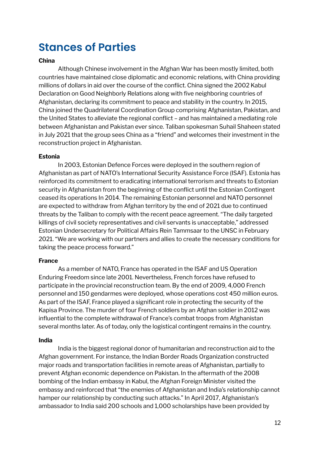### **Stances of Parties**

### **China**

Although Chinese involvement in the Afghan War has been mostly limited, both countries have maintained close diplomatic and economic relations, with China providing millions of dollars in aid over the course of the conflict. China signed the 2002 Kabul Declaration on Good Neighborly Relations along with five neighboring countries of Afghanistan, declaring its commitment to peace and stability in the country. In 2015, China joined the Quadrilateral Coordination Group comprising Afghanistan, Pakistan, and the United States to alleviate the regional conflict – and has maintained a mediating role between Afghanistan and Pakistan ever since. Taliban spokesman Suhail Shaheen stated in July 2021 that the group sees China as a "friend" and welcomes their investment in the reconstruction project in Afghanistan.

### **Estonia**

In 2003, Estonian Defence Forces were deployed in the southern region of Afghanistan as part of NATO's International Security Assistance Force (ISAF). Estonia has reinforced its commitment to eradicating international terrorism and threats to Estonian security in Afghanistan from the beginning of the conflict until the Estonian Contingent ceased its operations In 2014. The remaining Estonian personnel and NATO personnel are expected to withdraw from Afghan territory by the end of 2021 due to continued threats by the Taliban to comply with the recent peace agreement. "The daily targeted killings of civil society representatives and civil servants is unacceptable," addressed Estonian Undersecretary for Political Affairs Rein Tammsaar to the UNSC in February 2021. "We are working with our partners and allies to create the necessary conditions for taking the peace process forward."

### **France**

As a member of NATO, France has operated in the ISAF and US Operation Enduring Freedom since late 2001. Nevertheless, French forces have refused to participate in the provincial reconstruction team. By the end of 2009, 4,000 French personnel and 150 gendarmes were deployed, whose operations cost 450 million euros. As part of the ISAF, France played a significant role in protecting the security of the Kapisa Province. The murder of four French soldiers by an Afghan soldier in 2012 was influential to the complete withdrawal of France's combat troops from Afghanistan several months later. As of today, only the logistical contingent remains in the country.

### **India**

India is the biggest regional donor of humanitarian and reconstruction aid to the Afghan government. For instance, the Indian Border Roads Organization constructed major roads and transportation facilities in remote areas of Afghanistan, partially to prevent Afghan economic dependence on Pakistan. In the aftermath of the 2008 bombing of the Indian embassy in Kabul, the Afghan Foreign Minister visited the embassy and reinforced that "the enemies of Afghanistan and India's relationship cannot hamper our relationship by conducting such attacks." In April 2017, Afghanistan's ambassador to India said 200 schools and 1,000 scholarships have been provided by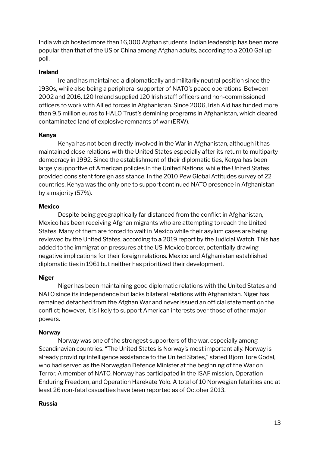India which hosted more than 16,000 Afghan students. Indian leadership has been more popular than that of the US or China among Afghan adults, according to a 2010 Gallup poll.

#### **Ireland**

Ireland has maintained a diplomatically and militarily neutral position since the 1930s, while also being a peripheral supporter of NATO's peace operations. Between 2002 and 2016, 120 Ireland supplied 120 Irish staff officers and non-commissioned officers to work with Allied forces in Afghanistan. Since 2006, Irish Aid has funded more than 9.5 million euros to HALO Trust's demining programs in Afghanistan, which cleared contaminated land of explosive remnants of war (ERW).

### **Kenya**

Kenya has not been directly involved in the War in Afghanistan, although it has maintained close relations with the United States especially after its return to multiparty democracy in 1992. Since the establishment of their diplomatic ties, Kenya has been largely supportive of American policies in the United Nations, while the United States provided consistent foreign assistance. In the 2010 Pew Global Attitudes survey of 22 countries, Kenya was the only one to support continued NATO presence in Afghanistan by a majority (57%).

#### **Mexico**

Despite being geographically far distanced from the conflict in Afghanistan, Mexico has been receiving Afghan migrants who are attempting to reach the United States. Many of them are forced to wait in Mexico while their asylum cases are being reviewed by the United States, according to **a** 2019 report by the Judicial Watch. This has added to the immigration pressures at the US-Mexico border, potentially drawing negative implications for their foreign relations. Mexico and Afghanistan established diplomatic ties in 1961 but neither has prioritized their development.

### **Niger**

Niger has been maintaining good diplomatic relations with the United States and NATO since its independence but lacks bilateral relations with Afghanistan. Niger has remained detached from the Afghan War and never issued an official statement on the conflict; however, it is likely to support American interests over those of other major powers.

### **Norway**

Norway was one of the strongest supporters of the war, especially among Scandinavian countries. "The United States is Norway's most important ally. Norway is already providing intelligence assistance to the United States," stated Bjorn Tore Godal, who had served as the Norwegian Defence Minister at the beginning of the War on Terror. A member of NATO, Norway has participated in the ISAF mission, Operation Enduring Freedom, and Operation Harekate Yolo. A total of 10 Norwegian fatalities and at least 26 non-fatal casualties have been reported as of October 2013.

#### **Russia**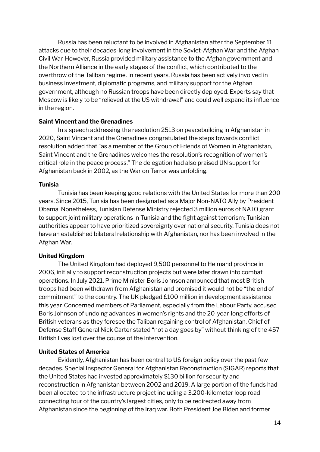Russia has been reluctant to be involved in Afghanistan after the September 11 attacks due to their decades-long involvement in the Soviet-Afghan War and the Afghan Civil War. However, Russia provided military assistance to the Afghan government and the Northern Alliance in the early stages of the conflict, which contributed to the overthrow of the Taliban regime. In recent years, Russia has been actively involved in business investment, diplomatic programs, and military support for the Afghan government, although no Russian troops have been directly deployed. Experts say that Moscow is likely to be "relieved at the US withdrawal" and could well expand its influence in the region.

#### **Saint Vincent and the Grenadines**

In a speech addressing the resolution 2513 on peacebuilding in Afghanistan in 2020, Saint Vincent and the Grenadines congratulated the steps towards conflict resolution added that "as a member of the Group of Friends of Women in Afghanistan, Saint Vincent and the Grenadines welcomes the resolution's recognition of women's critical role in the peace process." The delegation had also praised UN support for Afghanistan back in 2002, as the War on Terror was unfolding.

#### **Tunisia**

Tunisia has been keeping good relations with the United States for more than 200 years. Since 2015, Tunisia has been designated as a Major Non-NATO Ally by President Obama. Nonetheless, Tunisian Defense Ministry rejected 3 million euros of NATO grant to support joint military operations in Tunisia and the fight against terrorism; Tunisian authorities appear to have prioritized sovereignty over national security. Tunisia does not have an established bilateral relationship with Afghanistan, nor has been involved in the Afghan War.

### **United Kingdom**

The United Kingdom had deployed 9,500 personnel to Helmand province in 2006, initially to support reconstruction projects but were later drawn into combat operations. In July 2021, Prime Minister Boris Johnson announced that most British troops had been withdrawn from Afghanistan and promised it would not be "the end of commitment" to the country. The UK pledged £100 million in development assistance this year. Concerned members of Parliament, especially from the Labour Party, accused Boris Johnson of undoing advances in women's rights and the 20-year-long efforts of British veterans as they foresee the Taliban regaining control of Afghanistan. Chief of Defense Staff General Nick Carter stated "not a day goes by" without thinking of the 457 British lives lost over the course of the intervention.

### **United States of America**

Evidently, Afghanistan has been central to US foreign policy over the past few decades. Special Inspector General for Afghanistan Reconstruction (SIGAR) reports that the United States had invested approximately \$130 billion for security and reconstruction in Afghanistan between 2002 and 2019. A large portion of the funds had been allocated to the infrastructure project including a 3,200-kilometer loop road connecting four of the country's largest cities, only to be redirected away from Afghanistan since the beginning of the Iraq war. Both President Joe Biden and former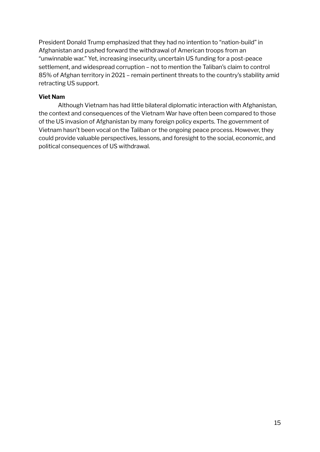President Donald Trump emphasized that they had no intention to "nation-build" in Afghanistan and pushed forward the withdrawal of American troops from an "unwinnable war." Yet, increasing insecurity, uncertain US funding for a post-peace settlement, and widespread corruption – not to mention the Taliban's claim to control 85% of Afghan territory in 2021 – remain pertinent threats to the country's stability amid retracting US support.

#### **Viet Nam**

Although Vietnam has had little bilateral diplomatic interaction with Afghanistan, the context and consequences of the Vietnam War have often been compared to those of the US invasion of Afghanistan by many foreign policy experts. The government of Vietnam hasn't been vocal on the Taliban or the ongoing peace process. However, they could provide valuable perspectives, lessons, and foresight to the social, economic, and political consequences of US withdrawal.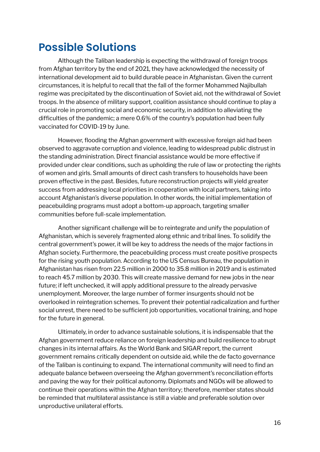### **Possible Solutions**

Although the Taliban leadership is expecting the withdrawal of foreign troops from Afghan territory by the end of 2021, they have acknowledged the necessity of international development aid to build durable peace in Afghanistan. Given the current circumstances, it is helpful to recall that the fall of the former Mohammed Najibullah regime was precipitated by the discontinuation of Soviet aid, not the withdrawal of Soviet troops. In the absence of military support, coalition assistance should continue to play a crucial role in promoting social and economic security, in addition to alleviating the difficulties of the pandemic; a mere 0.6% of the country's population had been fully vaccinated for COVID-19 by June.

However, flooding the Afghan government with excessive foreign aid had been observed to aggravate corruption and violence, leading to widespread public distrust in the standing administration. Direct financial assistance would be more effective if provided under clear conditions, such as upholding the rule of law or protecting the rights of women and girls. Small amounts of direct cash transfers to households have been proven effective in the past. Besides, future reconstruction projects will yield greater success from addressing local priorities in cooperation with local partners, taking into account Afghanistan's diverse population. In other words, the initial implementation of peacebuilding programs must adopt a bottom-up approach, targeting smaller communities before full-scale implementation.

Another significant challenge will be to reintegrate and unify the population of Afghanistan, which is severely fragmented along ethnic and tribal lines. To solidify the central government's power, it will be key to address the needs of the major factions in Afghan society. Furthermore, the peacebuilding process must create positive prospects for the rising youth population. According to the US Census Bureau, the population in Afghanistan has risen from 22.5 million in 2000 to 35.8 million in 2019 and is estimated to reach 45.7 million by 2030. This will create massive demand for new jobs in the near future; if left unchecked, it will apply additional pressure to the already pervasive unemployment. Moreover, the large number of former insurgents should not be overlooked in reintegration schemes. To prevent their potential radicalization and further social unrest, there need to be sufficient job opportunities, vocational training, and hope for the future in general.

Ultimately, in order to advance sustainable solutions, it is indispensable that the Afghan government reduce reliance on foreign leadership and build resilience to abrupt changes in its internal affairs. As the World Bank and SIGAR report, the current government remains critically dependent on outside aid, while the de facto governance of the Taliban is continuing to expand. The international community will need to find an adequate balance between overseeing the Afghan government's reconciliation efforts and paving the way for their political autonomy. Diplomats and NGOs will be allowed to continue their operations within the Afghan territory; therefore, member states should be reminded that multilateral assistance is still a viable and preferable solution over unproductive unilateral efforts.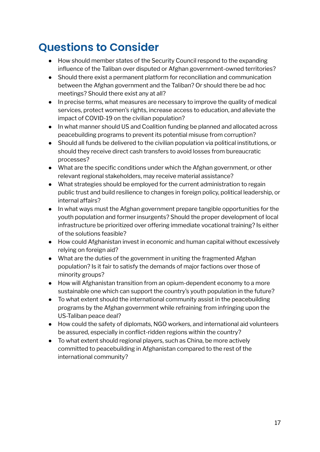# **Questions to Consider**

- How should member states of the Security Council respond to the expanding influence of the Taliban over disputed or Afghan government-owned territories?
- Should there exist a permanent platform for reconciliation and communication between the Afghan government and the Taliban? Or should there be ad hoc meetings? Should there exist any at all?
- In precise terms, what measures are necessary to improve the quality of medical services, protect women's rights, increase access to education, and alleviate the impact of COVID-19 on the civilian population?
- In what manner should US and Coalition funding be planned and allocated across peacebuilding programs to prevent its potential misuse from corruption?
- Should all funds be delivered to the civilian population via political institutions, or should they receive direct cash transfers to avoid losses from bureaucratic processes?
- What are the specific conditions under which the Afghan government, or other relevant regional stakeholders, may receive material assistance?
- What strategies should be employed for the current administration to regain public trust and build resilience to changes in foreign policy, political leadership, or internal affairs?
- In what ways must the Afghan government prepare tangible opportunities for the youth population and former insurgents? Should the proper development of local infrastructure be prioritized over offering immediate vocational training? Is either of the solutions feasible?
- How could Afghanistan invest in economic and human capital without excessively relying on foreign aid?
- What are the duties of the government in uniting the fragmented Afghan population? Is it fair to satisfy the demands of major factions over those of minority groups?
- How will Afghanistan transition from an opium-dependent economy to a more sustainable one which can support the country's youth population in the future?
- To what extent should the international community assist in the peacebuilding programs by the Afghan government while refraining from infringing upon the US-Taliban peace deal?
- How could the safety of diplomats, NGO workers, and international aid volunteers be assured, especially in conflict-ridden regions within the country?
- To what extent should regional players, such as China, be more actively committed to peacebuilding in Afghanistan compared to the rest of the international community?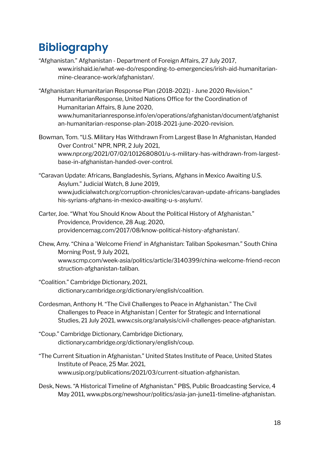# **Bibliography**

- "Afghanistan." Afghanistan Department of Foreign Affairs, 27 July 2017, www.irishaid.ie/what-we-do/responding-to-emergencies/irish-aid-humanitarianmine-clearance-work/afghanistan/.
- "Afghanistan: Humanitarian Response Plan (2018-2021) June 2020 Revision." HumanitarianResponse, United Nations Office for the Coordination of Humanitarian Affairs, 8 June 2020, www.humanitarianresponse.info/en/operations/afghanistan/document/afghanist an-humanitarian-response-plan-2018-2021-june-2020-revision.
- Bowman, Tom. "U.S. Military Has Withdrawn From Largest Base In Afghanistan, Handed Over Control." NPR, NPR, 2 July 2021, www.npr.org/2021/07/02/1012680801/u-s-military-has-withdrawn-from-largestbase-in-afghanistan-handed-over-control.
- "Caravan Update: Africans, Bangladeshis, Syrians, Afghans in Mexico Awaiting U.S. Asylum." Judicial Watch, 8 June 2019, www.judicialwatch.org/corruption-chronicles/caravan-update-africans-banglades his-syrians-afghans-in-mexico-awaiting-u-s-asylum/.
- Carter, Joe. "What You Should Know About the Political History of Afghanistan." Providence, Providence, 28 Aug. 2020, providencemag.com/2017/08/know-political-history-afghanistan/.
- Chew, Amy. "China a 'Welcome Friend' in Afghanistan: Taliban Spokesman." South China Morning Post, 9 July 2021, www.scmp.com/week-asia/politics/article/3140399/china-welcome-friend-recon struction-afghanistan-taliban.
- "Coalition." Cambridge Dictionary, 2021, dictionary.cambridge.org/dictionary/english/coalition.
- Cordesman, Anthony H. "The Civil Challenges to Peace in Afghanistan." The Civil Challenges to Peace in Afghanistan | Center for Strategic and International Studies, 21 July 2021, www.csis.org/analysis/civil-challenges-peace-afghanistan.
- "Coup." Cambridge Dictionary, Cambridge Dictionary, dictionary.cambridge.org/dictionary/english/coup.
- "The Current Situation in Afghanistan." United States Institute of Peace, United States Institute of Peace, 25 Mar. 2021, www.usip.org/publications/2021/03/current-situation-afghanistan.
- Desk, News. "A Historical Timeline of Afghanistan." PBS, Public Broadcasting Service, 4 May 2011, www.pbs.org/newshour/politics/asia-jan-june11-timeline-afghanistan.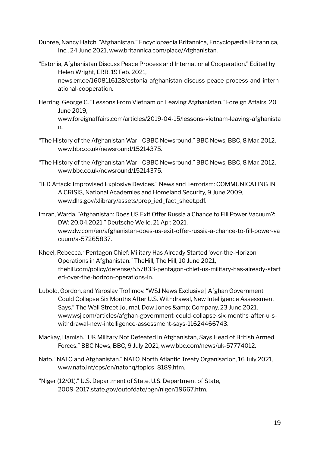- Dupree, Nancy Hatch. "Afghanistan." Encyclopædia Britannica, Encyclopædia Britannica, Inc., 24 June 2021, www.britannica.com/place/Afghanistan.
- "Estonia, Afghanistan Discuss Peace Process and International Cooperation." Edited by Helen Wright, ERR, 19 Feb. 2021, news.err.ee/1608116128/estonia-afghanistan-discuss-peace-process-and-intern ational-cooperation.
- Herring, George C. "Lessons From Vietnam on Leaving Afghanistan." Foreign Affairs, 20 June 2019, www.foreignaffairs.com/articles/2019-04-15/lessons-vietnam-leaving-afghanista n.
- "The History of the Afghanistan War CBBC Newsround." BBC News, BBC, 8 Mar. 2012, www.bbc.co.uk/newsround/15214375.
- "The History of the Afghanistan War CBBC Newsround." BBC News, BBC, 8 Mar. 2012, www.bbc.co.uk/newsround/15214375.
- "IED Attack: Improvised Explosive Devices." News and Terrorism: COMMUNICATING IN A CRISIS, National Academies and Homeland Security, 9 June 2009, www.dhs.gov/xlibrary/assets/prep\_ied\_fact\_sheet.pdf.
- Imran, Warda. "Afghanistan: Does US Exit Offer Russia a Chance to Fill Power Vacuum?: DW: 20.04.2021." Deutsche Welle, 21 Apr. 2021, www.dw.com/en/afghanistan-does-us-exit-offer-russia-a-chance-to-fill-power-va cuum/a-57265837.
- Kheel, Rebecca. "Pentagon Chief: Military Has Already Started 'over-the-Horizon' Operations in Afghanistan." TheHill, The Hill, 10 June 2021, thehill.com/policy/defense/557833-pentagon-chief-us-military-has-already-start ed-over-the-horizon-operations-in.
- Lubold, Gordon, and Yaroslav Trofimov. "WSJ News Exclusive | Afghan Government Could Collapse Six Months After U.S. Withdrawal, New Intelligence Assessment Says." The Wall Street Journal, Dow Jones & amp; Company, 23 June 2021, www.wsj.com/articles/afghan-government-could-collapse-six-months-after-u-swithdrawal-new-intelligence-assessment-says-11624466743.
- Mackay, Hamish. "UK Military Not Defeated in Afghanistan, Says Head of British Armed Forces." BBC News, BBC, 9 July 2021, www.bbc.com/news/uk-57774012.
- Nato. "NATO and Afghanistan." NATO, North Atlantic Treaty Organisation, 16 July 2021, www.nato.int/cps/en/natohq/topics\_8189.htm.
- "Niger (12/01)." U.S. Department of State, U.S. Department of State, 2009-2017.state.gov/outofdate/bgn/niger/19667.htm.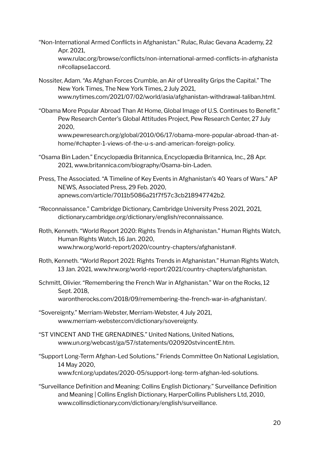- "Non-International Armed Conflicts in Afghanistan." Rulac, Rulac Gevana Academy, 22 Apr. 2021, www.rulac.org/browse/conflicts/non-international-armed-conflicts-in-afghanista n#collapse1accord.
- Nossiter, Adam. "As Afghan Forces Crumble, an Air of Unreality Grips the Capital." The New York Times, The New York Times, 2 July 2021, www.nytimes.com/2021/07/02/world/asia/afghanistan-withdrawal-taliban.html.
- "Obama More Popular Abroad Than At Home, Global Image of U.S. Continues to Benefit." Pew Research Center's Global Attitudes Project, Pew Research Center, 27 July 2020,

www.pewresearch.org/global/2010/06/17/obama-more-popular-abroad-than-athome/#chapter-1-views-of-the-u-s-and-american-foreign-policy.

- "Osama Bin Laden." Encyclopædia Britannica, Encyclopædia Britannica, Inc., 28 Apr. 2021, www.britannica.com/biography/Osama-bin-Laden.
- Press, The Associated. "A Timeline of Key Events in Afghanistan's 40 Years of Wars." AP NEWS, Associated Press, 29 Feb. 2020, apnews.com/article/7011b5086a21f7f57c3cb218947742b2.
- "Reconnaissance." Cambridge Dictionary, Cambridge University Press 2021, 2021, dictionary.cambridge.org/dictionary/english/reconnaissance.
- Roth, Kenneth. "World Report 2020: Rights Trends in Afghanistan." Human Rights Watch, Human Rights Watch, 16 Jan. 2020, www.hrw.org/world-report/2020/country-chapters/afghanistan#.
- Roth, Kenneth. "World Report 2021: Rights Trends in Afghanistan." Human Rights Watch, 13 Jan. 2021, www.hrw.org/world-report/2021/country-chapters/afghanistan.
- Schmitt, Olivier. "Remembering the French War in Afghanistan." War on the Rocks, 12 Sept. 2018, warontherocks.com/2018/09/remembering-the-french-war-in-afghanistan/.
- "Sovereignty." Merriam-Webster, Merriam-Webster, 4 July 2021, www.merriam-webster.com/dictionary/sovereignty.
- "ST VINCENT AND THE GRENADINES." United Nations, United Nations, www.un.org/webcast/ga/57/statements/020920stvincentE.htm.
- "Support Long-Term Afghan-Led Solutions." Friends Committee On National Legislation, 14 May 2020, www.fcnl.org/updates/2020-05/support-long-term-afghan-led-solutions.
- "Surveillance Definition and Meaning: Collins English Dictionary." Surveillance Definition and Meaning | Collins English Dictionary, HarperCollins Publishers Ltd, 2010, www.collinsdictionary.com/dictionary/english/surveillance.